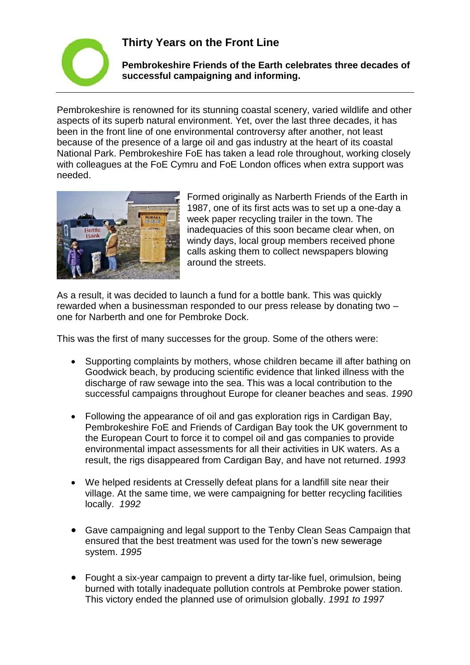## **Thirty Years on the Front Line**



**Pembrokeshire Friends of the Earth celebrates three decades of successful campaigning and informing.**

Pembrokeshire is renowned for its stunning coastal scenery, varied wildlife and other aspects of its superb natural environment. Yet, over the last three decades, it has been in the front line of one environmental controversy after another, not least because of the presence of a large oil and gas industry at the heart of its coastal National Park. Pembrokeshire FoE has taken a lead role throughout, working closely with colleagues at the FoE Cymru and FoE London offices when extra support was needed.



Formed originally as Narberth Friends of the Earth in 1987, one of its first acts was to set up a one-day a week paper recycling trailer in the town. The inadequacies of this soon became clear when, on windy days, local group members received phone calls asking them to collect newspapers blowing around the streets.

As a result, it was decided to launch a fund for a bottle bank. This was quickly rewarded when a businessman responded to our press release by donating two – one for Narberth and one for Pembroke Dock.

This was the first of many successes for the group. Some of the others were:

- Supporting complaints by mothers, whose children became ill after bathing on Goodwick beach, by producing scientific evidence that linked illness with the discharge of raw sewage into the sea. This was a local contribution to the successful campaigns throughout Europe for cleaner beaches and seas. *1990*
- Following the appearance of oil and gas exploration rigs in Cardigan Bay, Pembrokeshire FoE and Friends of Cardigan Bay took the UK government to the European Court to force it to compel oil and gas companies to provide environmental impact assessments for all their activities in UK waters. As a result, the rigs disappeared from Cardigan Bay, and have not returned. *1993*
- We helped residents at Cresselly defeat plans for a landfill site near their village. At the same time, we were campaigning for better recycling facilities locally. *1992*
- Gave campaigning and legal support to the Tenby Clean Seas Campaign that ensured that the best treatment was used for the town's new sewerage system. *1995*
- Fought a six-year campaign to prevent a dirty tar-like fuel, orimulsion, being burned with totally inadequate pollution controls at Pembroke power station. This victory ended the planned use of orimulsion globally. *1991 to 1997*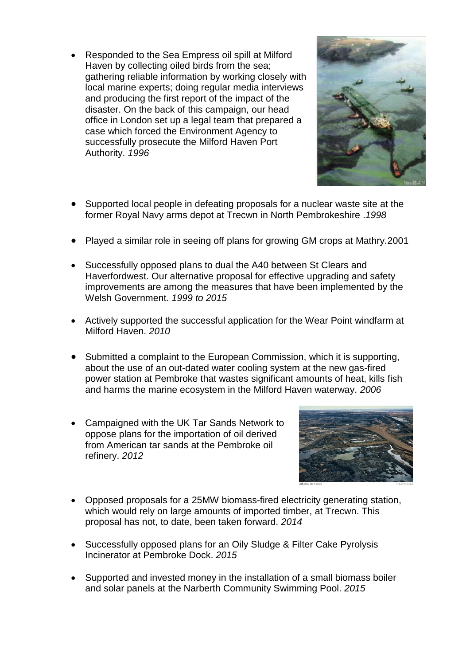• Responded to the Sea Empress oil spill at Milford Haven by collecting oiled birds from the sea; gathering reliable information by working closely with local marine experts; doing regular media interviews and producing the first report of the impact of the disaster. On the back of this campaign, our head office in London set up a legal team that prepared a case which forced the Environment Agency to successfully prosecute the Milford Haven Port Authority. *1996*



- Supported local people in defeating proposals for a nuclear waste site at the former Royal Navy arms depot at Trecwn in North Pembrokeshire .*1998*
- Played a similar role in seeing off plans for growing GM crops at Mathry.2001
- Successfully opposed plans to dual the A40 between St Clears and Haverfordwest. Our alternative proposal for effective upgrading and safety improvements are among the measures that have been implemented by the Welsh Government. *1999 to 2015*
- Actively supported the successful application for the Wear Point windfarm at Milford Haven. *2010*
- Submitted a complaint to the European Commission, which it is supporting, about the use of an out-dated water cooling system at the new gas-fired power station at Pembroke that wastes significant amounts of heat, kills fish and harms the marine ecosystem in the Milford Haven waterway. *2006*
- Campaigned with the UK Tar Sands Network to oppose plans for the importation of oil derived from American tar sands at the Pembroke oil refinery. *2012*



- Opposed proposals for a 25MW biomass-fired electricity generating station, which would rely on large amounts of imported timber, at Trecwn. This proposal has not, to date, been taken forward. *2014*
- Successfully opposed plans for an Oily Sludge & Filter Cake Pyrolysis Incinerator at Pembroke Dock. *2015*
- Supported and invested money in the installation of a small biomass boiler and solar panels at the Narberth Community Swimming Pool. *2015*